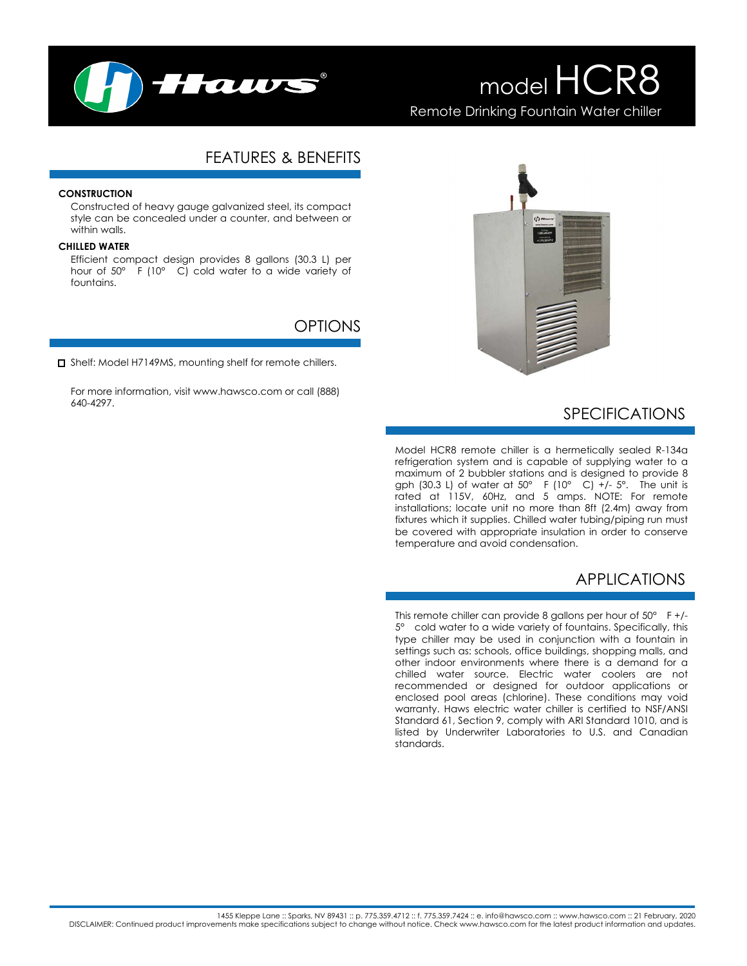

# FEATURES & BENEFITS

### **CONSTRUCTION**

Constructed of heavy gauge galvanized steel, its compact style can be concealed under a counter, and between or within walls.

#### **CHILLED WATER**

Efficient compact design provides 8 gallons (30.3 L) per hour of 50° F (10° C) cold water to a wide variety of fountains.

### OPTIONS

□ Shelf: Model H7149MS, mounting shelf for remote chillers.

For more information, visit www.hawsco.com or call (888) 640-4297.



# SPECIFICATIONS

Model HCR8 remote chiller is a hermetically sealed R-134a refrigeration system and is capable of supplying water to a maximum of 2 bubbler stations and is designed to provide 8 gph (30.3 L) of water at  $50^{\circ}$  F (10° C) +/-  $5^{\circ}$ . The unit is rated at 115V, 60Hz, and 5 amps. NOTE: For remote installations; locate unit no more than 8ft (2.4m) away from fixtures which it supplies. Chilled water tubing/piping run must be covered with appropriate insulation in order to conserve temperature and avoid condensation.

## APPLICATIONS

This remote chiller can provide 8 gallons per hour of 50° F +/- 5° cold water to a wide variety of fountains. Specifically, this type chiller may be used in conjunction with a fountain in settings such as: schools, office buildings, shopping malls, and other indoor environments where there is a demand for a chilled water source. Electric water coolers are not recommended or designed for outdoor applications or enclosed pool areas (chlorine). These conditions may void warranty. Haws electric water chiller is certified to NSF/ANSI Standard 61, Section 9, comply with ARI Standard 1010, and is listed by Underwriter Laboratories to U.S. and Canadian standards.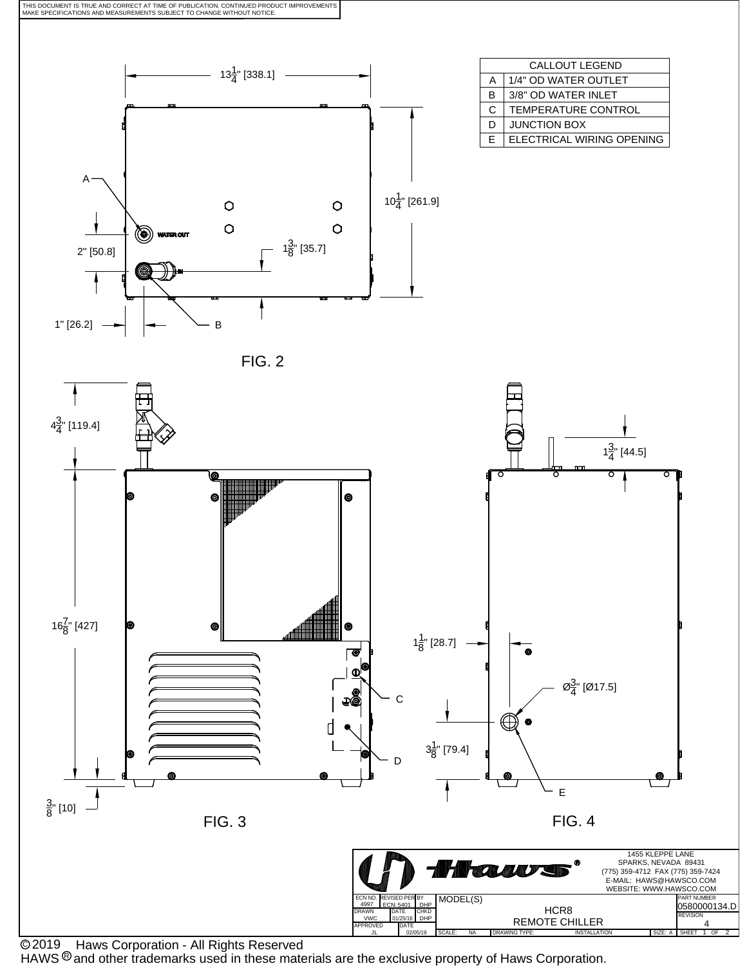

 Haws Corporation - All Rights Reserved C 2019

HAWS  $^{\circledR}$  and other trademarks used in these materials are the exclusive property of Haws Corporation.